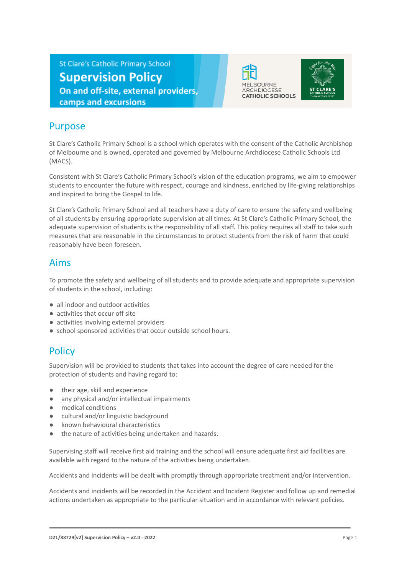**St Clare's Catholic Primary School Supervision Policy** On and off-site, external providers, camps and excursions





#### Purpose

St Clare's Catholic Primary School is a school which operates with the consent of the Catholic Archbishop of Melbourne and is owned, operated and governed by Melbourne Archdiocese Catholic Schools Ltd (MACS).

Consistent with St Clare's Catholic Primary School's vision of the education programs, we aim to empower students to encounter the future with respect, courage and kindness, enriched by life-giving relationships and inspired to bring the Gospel to life.

St Clare's Catholic Primary School and all teachers have a duty of care to ensure the safety and wellbeing of all students by ensuring appropriate supervision at all times. At St Clare's Catholic Primary School, the adequate supervision of students is the responsibility of all staff. This policy requires all staff to take such measures that are reasonable in the circumstances to protect students from the risk of harm that could reasonably have been foreseen.

#### Aims

To promote the safety and wellbeing of all students and to provide adequate and appropriate supervision of students in the school, including:

- all indoor and outdoor activities
- activities that occur off site
- activities involving external providers
- school sponsored activities that occur outside school hours.

# **Policy**

Supervision will be provided to students that takes into account the degree of care needed for the protection of students and having regard to:

- their age, skill and experience
- any physical and/or intellectual impairments
- medical conditions
- cultural and/or linguistic background
- known behavioural characteristics
- the nature of activities being undertaken and hazards.

Supervising staff will receive first aid training and the school will ensure adequate first aid facilities are available with regard to the nature of the activities being undertaken.

Accidents and incidents will be dealt with promptly through appropriate treatment and/or intervention.

Accidents and incidents will be recorded in the Accident and Incident Register and follow up and remedial actions undertaken as appropriate to the particular situation and in accordance with relevant policies.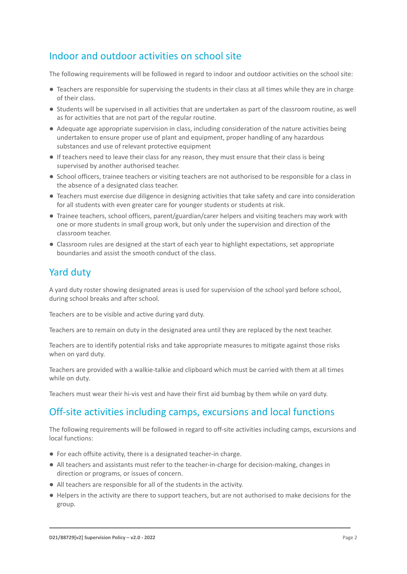## Indoor and outdoor activities on school site

The following requirements will be followed in regard to indoor and outdoor activities on the school site:

- Teachers are responsible for supervising the students in their class at all times while they are in charge of their class.
- Students will be supervised in all activities that are undertaken as part of the classroom routine, as well as for activities that are not part of the regular routine.
- Adequate age appropriate supervision in class, including consideration of the nature activities being undertaken to ensure proper use of plant and equipment, proper handling of any hazardous substances and use of relevant protective equipment
- If teachers need to leave their class for any reason, they must ensure that their class is being supervised by another authorised teacher.
- School officers, trainee teachers or visiting teachers are not authorised to be responsible for a class in the absence of a designated class teacher.
- Teachers must exercise due diligence in designing activities that take safety and care into consideration for all students with even greater care for younger students or students at risk.
- Trainee teachers, school officers, parent/guardian/carer helpers and visiting teachers may work with one or more students in small group work, but only under the supervision and direction of the classroom teacher.
- Classroom rules are designed at the start of each year to highlight expectations, set appropriate boundaries and assist the smooth conduct of the class.

## Yard duty

A yard duty roster showing designated areas is used for supervision of the school yard before school, during school breaks and after school.

Teachers are to be visible and active during yard duty.

Teachers are to remain on duty in the designated area until they are replaced by the next teacher.

Teachers are to identify potential risks and take appropriate measures to mitigate against those risks when on yard duty.

Teachers are provided with a walkie-talkie and clipboard which must be carried with them at all times while on duty.

Teachers must wear their hi-vis vest and have their first aid bumbag by them while on yard duty.

# Off-site activities including camps, excursions and local functions

The following requirements will be followed in regard to off-site activities including camps, excursions and local functions:

- For each offsite activity, there is a designated teacher-in charge.
- All teachers and assistants must refer to the teacher-in-charge for decision-making, changes in direction or programs, or issues of concern.
- All teachers are responsible for all of the students in the activity.
- Helpers in the activity are there to support teachers, but are not authorised to make decisions for the group.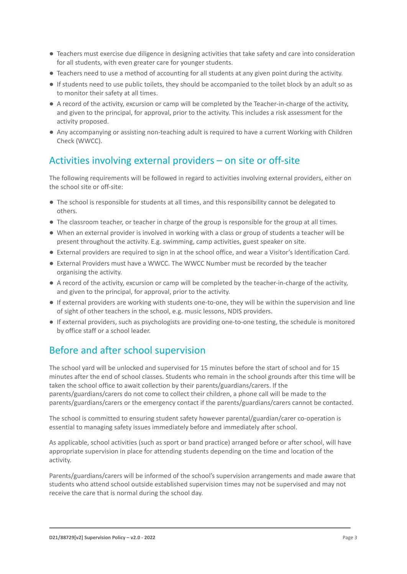- Teachers must exercise due diligence in designing activities that take safety and care into consideration for all students, with even greater care for younger students.
- Teachers need to use a method of accounting for all students at any given point during the activity.
- If students need to use public toilets, they should be accompanied to the toilet block by an adult so as to monitor their safety at all times.
- A record of the activity, excursion or camp will be completed by the Teacher-in-charge of the activity, and given to the principal, for approval, prior to the activity. This includes a risk assessment for the activity proposed.
- Any accompanying or assisting non-teaching adult is required to have a current Working with Children Check (WWCC).

# Activities involving external providers – on site or off-site

The following requirements will be followed in regard to activities involving external providers, either on the school site or off-site:

- The school is responsible for students at all times, and this responsibility cannot be delegated to others.
- The classroom teacher, or teacher in charge of the group is responsible for the group at all times.
- When an external provider is involved in working with a class or group of students a teacher will be present throughout the activity. E.g. swimming, camp activities, guest speaker on site.
- External providers are required to sign in at the school office, and wear a Visitor's Identification Card.
- External Providers must have a WWCC. The WWCC Number must be recorded by the teacher organising the activity.
- A record of the activity, excursion or camp will be completed by the teacher-in-charge of the activity, and given to the principal, for approval, prior to the activity.
- If external providers are working with students one-to-one, they will be within the supervision and line of sight of other teachers in the school, e.g. music lessons, NDIS providers.
- If external providers, such as psychologists are providing one-to-one testing, the schedule is monitored by office staff or a school leader.

# Before and after school supervision

The school yard will be unlocked and supervised for 15 minutes before the start of school and for 15 minutes after the end of school classes. Students who remain in the school grounds after this time will be taken the school office to await collection by their parents/guardians/carers. If the parents/guardians/carers do not come to collect their children, a phone call will be made to the parents/guardians/carers or the emergency contact if the parents/guardians/carers cannot be contacted.

The school is committed to ensuring student safety however parental/guardian/carer co-operation is essential to managing safety issues immediately before and immediately after school.

As applicable, school activities (such as sport or band practice) arranged before or after school, will have appropriate supervision in place for attending students depending on the time and location of the activity.

Parents/guardians/carers will be informed of the school's supervision arrangements and made aware that students who attend school outside established supervision times may not be supervised and may not receive the care that is normal during the school day.